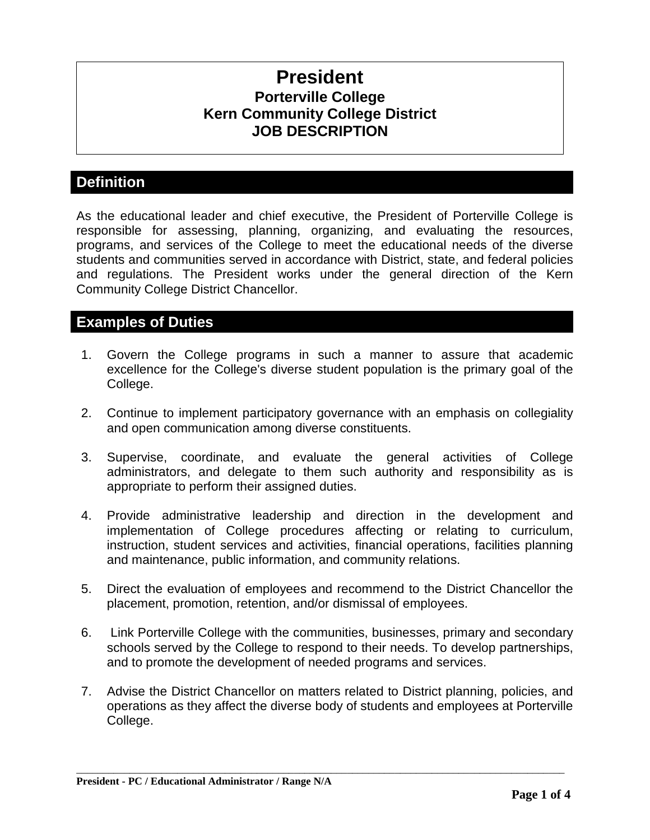# **President Porterville College Kern Community College District JOB DESCRIPTION**

# **Definition**

As the educational leader and chief executive, the President of Porterville College is responsible for assessing, planning, organizing, and evaluating the resources, programs, and services of the College to meet the educational needs of the diverse students and communities served in accordance with District, state, and federal policies and regulations. The President works under the general direction of the Kern Community College District Chancellor.

### **Examples of Duties**

- 1. Govern the College programs in such a manner to assure that academic excellence for the College's diverse student population is the primary goal of the College.
- 2. Continue to implement participatory governance with an emphasis on collegiality and open communication among diverse constituents.
- 3. Supervise, coordinate, and evaluate the general activities of College administrators, and delegate to them such authority and responsibility as is appropriate to perform their assigned duties.
- 4. Provide administrative leadership and direction in the development and implementation of College procedures affecting or relating to curriculum, instruction, student services and activities, financial operations, facilities planning and maintenance, public information, and community relations.
- 5. Direct the evaluation of employees and recommend to the District Chancellor the placement, promotion, retention, and/or dismissal of employees.
- 6. Link Porterville College with the communities, businesses, primary and secondary schools served by the College to respond to their needs. To develop partnerships, and to promote the development of needed programs and services.
- 7. Advise the District Chancellor on matters related to District planning, policies, and operations as they affect the diverse body of students and employees at Porterville College.

\_\_\_\_\_\_\_\_\_\_\_\_\_\_\_\_\_\_\_\_\_\_\_\_\_\_\_\_\_\_\_\_\_\_\_\_\_\_\_\_\_\_\_\_\_\_\_\_\_\_\_\_\_\_\_\_\_\_\_\_\_\_\_\_\_\_\_\_\_\_\_\_\_\_\_\_\_\_\_\_\_\_\_\_\_\_\_\_\_\_\_\_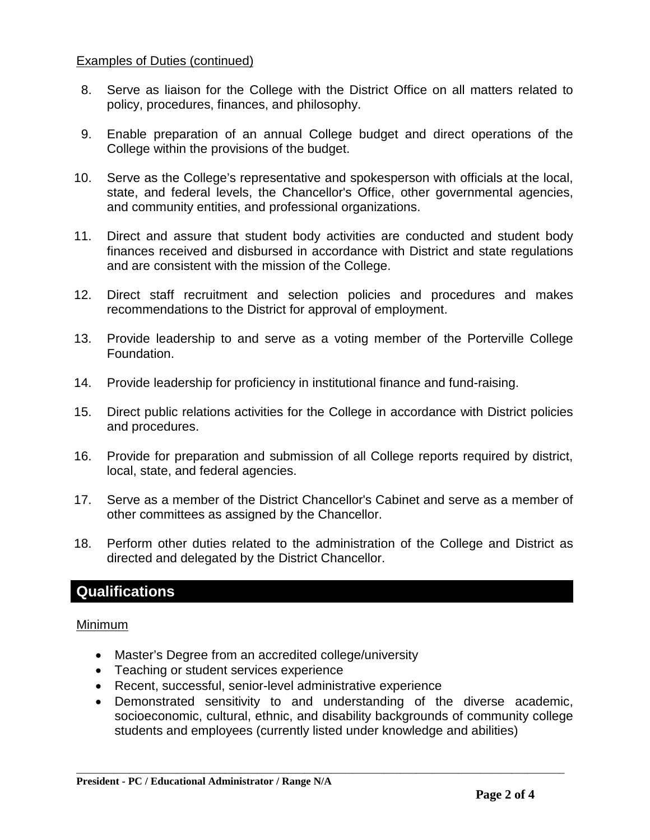#### Examples of Duties (continued)

- 8. Serve as liaison for the College with the District Office on all matters related to policy, procedures, finances, and philosophy.
- 9. Enable preparation of an annual College budget and direct operations of the College within the provisions of the budget.
- 10. Serve as the College's representative and spokesperson with officials at the local, state, and federal levels, the Chancellor's Office, other governmental agencies, and community entities, and professional organizations.
- 11. Direct and assure that student body activities are conducted and student body finances received and disbursed in accordance with District and state regulations and are consistent with the mission of the College.
- 12. Direct staff recruitment and selection policies and procedures and makes recommendations to the District for approval of employment.
- 13. Provide leadership to and serve as a voting member of the Porterville College Foundation.
- 14. Provide leadership for proficiency in institutional finance and fund-raising.
- 15. Direct public relations activities for the College in accordance with District policies and procedures.
- 16. Provide for preparation and submission of all College reports required by district, local, state, and federal agencies.
- 17. Serve as a member of the District Chancellor's Cabinet and serve as a member of other committees as assigned by the Chancellor.
- 18. Perform other duties related to the administration of the College and District as directed and delegated by the District Chancellor.

## **Qualifications**

#### Minimum

- Master's Degree from an accredited college/university
- Teaching or student services experience
- Recent, successful, senior-level administrative experience
- Demonstrated sensitivity to and understanding of the diverse academic, socioeconomic, cultural, ethnic, and disability backgrounds of community college students and employees (currently listed under knowledge and abilities)

\_\_\_\_\_\_\_\_\_\_\_\_\_\_\_\_\_\_\_\_\_\_\_\_\_\_\_\_\_\_\_\_\_\_\_\_\_\_\_\_\_\_\_\_\_\_\_\_\_\_\_\_\_\_\_\_\_\_\_\_\_\_\_\_\_\_\_\_\_\_\_\_\_\_\_\_\_\_\_\_\_\_\_\_\_\_\_\_\_\_\_\_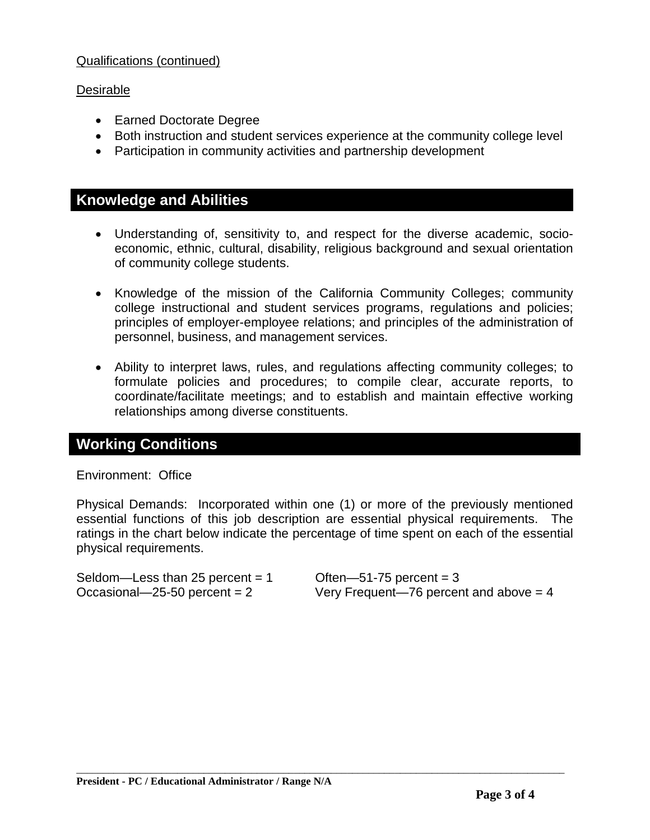#### Qualifications (continued)

#### Desirable

- Earned Doctorate Degree
- Both instruction and student services experience at the community college level
- Participation in community activities and partnership development

### **Knowledge and Abilities**

- Understanding of, sensitivity to, and respect for the diverse academic, socioeconomic, ethnic, cultural, disability, religious background and sexual orientation of community college students.
- Knowledge of the mission of the California Community Colleges; community college instructional and student services programs, regulations and policies; principles of employer-employee relations; and principles of the administration of personnel, business, and management services.
- Ability to interpret laws, rules, and regulations affecting community colleges; to formulate policies and procedures; to compile clear, accurate reports, to coordinate/facilitate meetings; and to establish and maintain effective working relationships among diverse constituents.

### **Working Conditions**

#### Environment: Office

Physical Demands: Incorporated within one (1) or more of the previously mentioned essential functions of this job description are essential physical requirements. The ratings in the chart below indicate the percentage of time spent on each of the essential physical requirements.

\_\_\_\_\_\_\_\_\_\_\_\_\_\_\_\_\_\_\_\_\_\_\_\_\_\_\_\_\_\_\_\_\_\_\_\_\_\_\_\_\_\_\_\_\_\_\_\_\_\_\_\_\_\_\_\_\_\_\_\_\_\_\_\_\_\_\_\_\_\_\_\_\_\_\_\_\_\_\_\_\_\_\_\_\_\_\_\_\_\_\_\_

Seldom—Less than  $25$  percent = 1  $\qquad$  Often—51-75 percent = 3

Occasional—25-50 percent  $= 2$  Very Frequent—76 percent and above  $= 4$